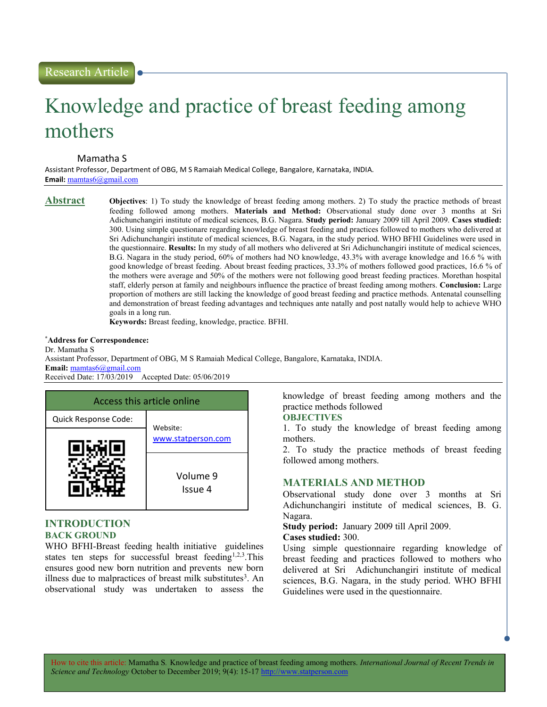# Knowledge and practice of breast feeding among mothers

Mamatha S

Assistant Professor, Department of OBG, M S Ramaiah Medical College, Bangalore, Karnataka, INDIA. Email: mamtas6@gmail.com

Abstract Objectives: 1) To study the knowledge of breast feeding among mothers. 2) To study the practice methods of breast feeding followed among mothers. Materials and Method: Observational study done over 3 months at Sri Adichunchangiri institute of medical sciences, B.G. Nagara. Study period: January 2009 till April 2009. Cases studied: 300. Using simple questionare regarding knowledge of breast feeding and practices followed to mothers who delivered at Sri Adichunchangiri institute of medical sciences, B.G. Nagara, in the study period. WHO BFHI Guidelines were used in the questionnaire. Results: In my study of all mothers who delivered at Sri Adichunchangiri institute of medical sciences, B.G. Nagara in the study period, 60% of mothers had NO knowledge, 43.3% with average knowledge and 16.6 % with good knowledge of breast feeding. About breast feeding practices, 33.3% of mothers followed good practices, 16.6 % of the mothers were average and 50% of the mothers were not following good breast feeding practices. Morethan hospital staff, elderly person at family and neighbours influence the practice of breast feeding among mothers. Conclusion: Large proportion of mothers are still lacking the knowledge of good breast feeding and practice methods. Antenatal counselling and demonstration of breast feeding advantages and techniques ante natally and post natally would help to achieve WHO goals in a long run.

Keywords: Breast feeding, knowledge, practice. BFHI.

# \*Address for Correspondence:

Dr. Mamatha S

Assistant Professor, Department of OBG, M S Ramaiah Medical College, Bangalore, Karnataka, INDIA. Email: mamtas6@gmail.com

Received Date: 17/03/2019 Accepted Date: 05/06/2019

| Access this article online |                                |  |
|----------------------------|--------------------------------|--|
| Quick Response Code:       | Website:<br>www.statperson.com |  |
|                            |                                |  |
|                            | Volume 9<br>Issue 4            |  |

# INTRODUCTION BACK GROUND

WHO BFHI-Breast feeding health initiative guidelines states ten steps for successful breast feeding<sup>1,2,3</sup>.This ensures good new born nutrition and prevents new born illness due to malpractices of breast milk substitutes<sup>3</sup>. An observational study was undertaken to assess the

knowledge of breast feeding among mothers and the practice methods followed

# **OBJECTIVES**

1. To study the knowledge of breast feeding among mothers.

2. To study the practice methods of breast feeding followed among mothers.

# MATERIALS AND METHOD

Observational study done over 3 months at Sri Adichunchangiri institute of medical sciences, B. G. Nagara.

Study period: January 2009 till April 2009.

### Cases studied: 300.

Using simple questionnaire regarding knowledge of breast feeding and practices followed to mothers who delivered at Sri Adichunchangiri institute of medical sciences, B.G. Nagara, in the study period. WHO BFHI Guidelines were used in the questionnaire.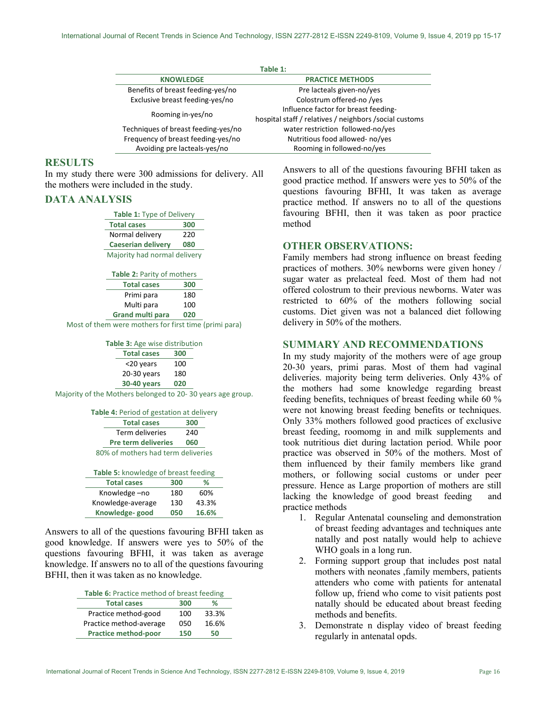|                                     | Table 1:                                                |
|-------------------------------------|---------------------------------------------------------|
| <b>KNOWLEDGE</b>                    | <b>PRACTICE METHODS</b>                                 |
| Benefits of breast feeding-yes/no   | Pre lacteals given-no/yes                               |
| Exclusive breast feeding-yes/no     | Colostrum offered-no /yes                               |
| Rooming in-yes/no                   | Influence factor for breast feeding-                    |
|                                     | hospital staff / relatives / neighbors / social customs |
| Techniques of breast feeding-yes/no | water restriction followed-no/yes                       |
| Frequency of breast feeding-yes/no  | Nutritious food allowed-no/yes                          |
| Avoiding pre lacteals-yes/no        | Rooming in followed-no/yes                              |

# **RESULTS**

In my study there were 300 admissions for delivery. All the mothers were included in the study.

# DATA ANALYSIS

| Table 1: Type of Delivery    |     |  |
|------------------------------|-----|--|
| <b>Total cases</b>           | 300 |  |
| Normal delivery              | 220 |  |
| <b>Caeserian delivery</b>    | 080 |  |
| Majority had normal delivery |     |  |

| Table 2: Parity of mothers |     |
|----------------------------|-----|
| <b>Total cases</b>         | 300 |
| Primi para                 | 180 |
| Multi para                 | 100 |
| <b>Grand multi para</b>    | 020 |

Most of them were mothers for first time (primi para)

| <b>Table 3: Age wise distribution</b> |     |
|---------------------------------------|-----|
| <b>Total cases</b>                    | 300 |

| <20 years          | 100 |
|--------------------|-----|
| 20-30 years        | 180 |
| <b>30-40 years</b> | 020 |

Majority of the Mothers belonged to 20- 30 years age group.

|  |  |  | Table 4: Period of gestation at delivery |
|--|--|--|------------------------------------------|
|--|--|--|------------------------------------------|

| <b>Total cases</b>                 | 300 |
|------------------------------------|-----|
| Term deliveries                    | 240 |
| <b>Pre term deliveries</b>         | 060 |
| 80% of mothers had term deliveries |     |

| <b>Table 5:</b> knowledge of breast feeding |       |  |  |
|---------------------------------------------|-------|--|--|
| 300                                         | %     |  |  |
| 180                                         | 60%   |  |  |
| 130                                         | 43.3% |  |  |
| 050                                         | 16.6% |  |  |
|                                             |       |  |  |

Answers to all of the questions favouring BFHI taken as good knowledge. If answers were yes to 50% of the questions favouring BFHI, it was taken as average knowledge. If answers no to all of the questions favouring BFHI, then it was taken as no knowledge.

| Table 6: Practice method of breast feeding |  |  |  |  |  |
|--------------------------------------------|--|--|--|--|--|
|--------------------------------------------|--|--|--|--|--|

| <b>Total cases</b>          | 300 | %     |
|-----------------------------|-----|-------|
| Practice method-good        | 100 | 33.3% |
| Practice method-average     | 050 | 16.6% |
| <b>Practice method-poor</b> | 150 | 50    |
|                             |     |       |

Answers to all of the questions favouring BFHI taken as good practice method. If answers were yes to 50% of the questions favouring BFHI, It was taken as average practice method. If answers no to all of the questions favouring BFHI, then it was taken as poor practice method

# OTHER OBSERVATIONS:

Family members had strong influence on breast feeding practices of mothers. 30% newborns were given honey / sugar water as prelacteal feed. Most of them had not offered colostrum to their previous newborns. Water was restricted to 60% of the mothers following social customs. Diet given was not a balanced diet following delivery in 50% of the mothers.

# SUMMARY AND RECOMMENDATIONS

In my study majority of the mothers were of age group 20-30 years, primi paras. Most of them had vaginal deliveries. majority being term deliveries. Only 43% of the mothers had some knowledge regarding breast feeding benefits, techniques of breast feeding while 60 % were not knowing breast feeding benefits or techniques. Only 33% mothers followed good practices of exclusive breast feeding, roomomg in and milk supplements and took nutritious diet during lactation period. While poor practice was observed in 50% of the mothers. Most of them influenced by their family members like grand mothers, or following social customs or under peer pressure. Hence as Large proportion of mothers are still lacking the knowledge of good breast feeding and practice methods

- 1. Regular Antenatal counseling and demonstration of breast feeding advantages and techniques ante natally and post natally would help to achieve WHO goals in a long run.
- 2. Forming support group that includes post natal mothers with neonates ,family members, patients attenders who come with patients for antenatal follow up, friend who come to visit patients post natally should be educated about breast feeding methods and benefits.
- 3. Demonstrate n display video of breast feeding regularly in antenatal opds.